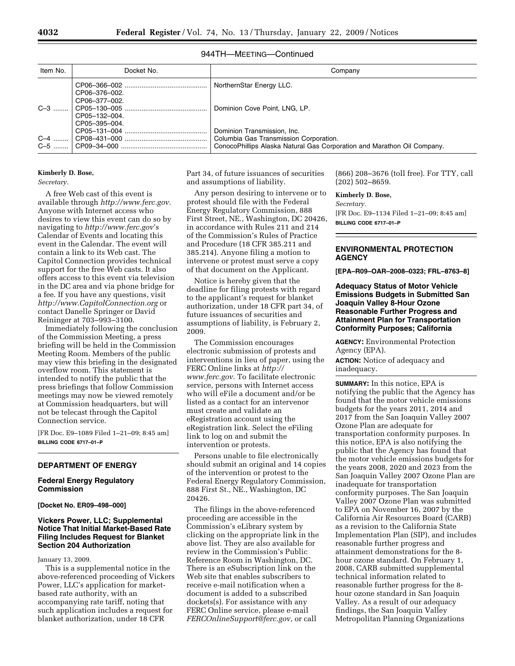# 944TH—MEETING—Continued

| Item No. | Docket No.                     | Company                                                                                                                                          |  |  |  |  |
|----------|--------------------------------|--------------------------------------------------------------------------------------------------------------------------------------------------|--|--|--|--|
|          | CP06-376-002.<br>CP06-377-002. | NorthernStar Energy LLC.                                                                                                                         |  |  |  |  |
| $C-3$    | CP05-132-004.<br>CP05-395-004. | Dominion Cove Point, LNG, LP.                                                                                                                    |  |  |  |  |
| $C-4$    |                                | Dominion Transmission, Inc.<br>Columbia Gas Transmission Corporation.<br>ConocoPhillips Alaska Natural Gas Corporation and Marathon Oil Company. |  |  |  |  |

#### **Kimberly D. Bose,**

*Secretary.* 

A free Web cast of this event is available through *http://www.ferc.gov*. Anyone with Internet access who desires to view this event can do so by navigating to *http://www.ferc.gov*'s Calendar of Events and locating this event in the Calendar. The event will contain a link to its Web cast. The Capitol Connection provides technical support for the free Web casts. It also offers access to this event via television in the DC area and via phone bridge for a fee. If you have any questions, visit *http://www.CapitolConnection.org* or contact Danelle Springer or David Reininger at 703–993–3100.

Immediately following the conclusion of the Commission Meeting, a press briefing will be held in the Commission Meeting Room. Members of the public may view this briefing in the designated overflow room. This statement is intended to notify the public that the press briefings that follow Commission meetings may now be viewed remotely at Commission headquarters, but will not be telecast through the Capitol Connection service.

[FR Doc. E9–1089 Filed 1–21–09; 8:45 am] **BILLING CODE 6717–01–P** 

### **DEPARTMENT OF ENERGY**

### **Federal Energy Regulatory Commission**

**[Docket No. ER09–498–000]** 

# **Vickers Power, LLC; Supplemental Notice That Initial Market-Based Rate Filing Includes Request for Blanket Section 204 Authorization**

### January 13, 2009.

This is a supplemental notice in the above-referenced proceeding of Vickers Power, LLC's application for marketbased rate authority, with an accompanying rate tariff, noting that such application includes a request for blanket authorization, under 18 CFR

Part 34, of future issuances of securities and assumptions of liability.

Any person desiring to intervene or to protest should file with the Federal Energy Regulatory Commission, 888 First Street, NE., Washington, DC 20426, in accordance with Rules 211 and 214 of the Commission's Rules of Practice and Procedure (18 CFR 385.211 and 385.214). Anyone filing a motion to intervene or protest must serve a copy of that document on the Applicant.

Notice is hereby given that the deadline for filing protests with regard to the applicant's request for blanket authorization, under 18 CFR part 34, of future issuances of securities and assumptions of liability, is February 2, 2009.

The Commission encourages electronic submission of protests and interventions in lieu of paper, using the FERC Online links at *http:// www.ferc.gov*. To facilitate electronic service, persons with Internet access who will eFile a document and/or be listed as a contact for an intervenor must create and validate an eRegistration account using the eRegistration link. Select the eFiling link to log on and submit the intervention or protests.

Persons unable to file electronically should submit an original and 14 copies of the intervention or protest to the Federal Energy Regulatory Commission, 888 First St., NE., Washington, DC 20426.

The filings in the above-referenced proceeding are accessible in the Commission's eLibrary system by clicking on the appropriate link in the above list. They are also available for review in the Commission's Public Reference Room in Washington, DC. There is an eSubscription link on the Web site that enables subscribers to receive e-mail notification when a document is added to a subscribed dockets(s). For assistance with any FERC Online service, please e-mail *FERCOnlineSupport@ferc.gov*, or call

(866) 208–3676 (toll free). For TTY, call (202) 502–8659.

**Kimberly D. Bose,** 

*Secretary.*  [FR Doc. E9–1134 Filed 1–21–09; 8:45 am] **BILLING CODE 6717–01–P** 

# **ENVIRONMENTAL PROTECTION AGENCY**

**[EPA–R09–OAR–2008–0323; FRL–8763–8]** 

### **Adequacy Status of Motor Vehicle Emissions Budgets in Submitted San Joaquin Valley 8-Hour Ozone Reasonable Further Progress and Attainment Plan for Transportation Conformity Purposes; California**

**AGENCY:** Environmental Protection Agency (EPA). **ACTION:** Notice of adequacy and inadequacy.

**SUMMARY:** In this notice, EPA is notifying the public that the Agency has found that the motor vehicle emissions budgets for the years 2011, 2014 and 2017 from the San Joaquin Valley 2007 Ozone Plan are adequate for transportation conformity purposes. In this notice, EPA is also notifying the public that the Agency has found that the motor vehicle emissions budgets for the years 2008, 2020 and 2023 from the San Joaquin Valley 2007 Ozone Plan are inadequate for transportation conformity purposes. The San Joaquin Valley 2007 Ozone Plan was submitted to EPA on November 16, 2007 by the California Air Resources Board (CARB) as a revision to the California State Implementation Plan (SIP), and includes reasonable further progress and attainment demonstrations for the 8 hour ozone standard. On February 1, 2008, CARB submitted supplemental technical information related to reasonable further progress for the 8 hour ozone standard in San Joaquin Valley. As a result of our adequacy findings, the San Joaquin Valley Metropolitan Planning Organizations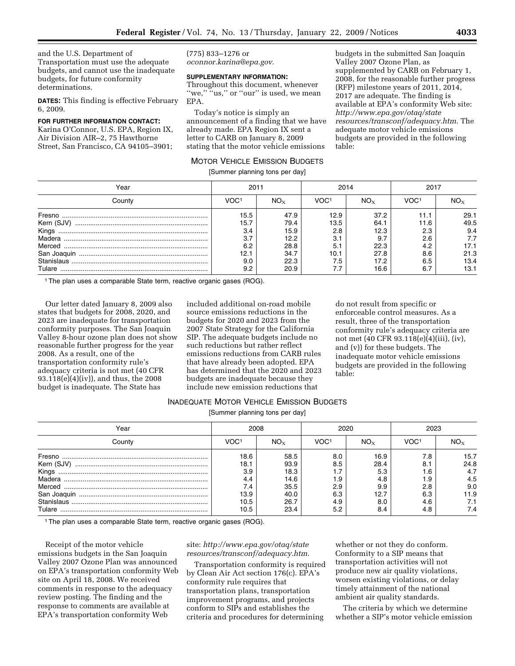and the U.S. Department of Transportation must use the adequate budgets, and cannot use the inadequate budgets, for future conformity determinations.

**DATES:** This finding is effective February 6, 2009.

#### **FOR FURTHER INFORMATION CONTACT:**

Karina O'Connor, U.S. EPA, Region IX, Air Division AIR–2, 75 Hawthorne Street, San Francisco, CA 94105–3901;

(775) 833–1276 or *oconnor.karina@epa.gov*.

# **SUPPLEMENTARY INFORMATION:**

Throughout this document, whenever "we," "us," or "our" is used, we mean EPA.

Today's notice is simply an announcement of a finding that we have already made. EPA Region IX sent a letter to CARB on January 8, 2009 stating that the motor vehicle emissions

### MOTOR VEHICLE EMISSION BUDGETS

[Summer planning tons per day]

budgets in the submitted San Joaquin Valley 2007 Ozone Plan, as supplemented by CARB on February 1, 2008, for the reasonable further progress (RFP) milestone years of 2011, 2014, 2017 are adequate. The finding is available at EPA's conformity Web site: *http://www.epa.gov/otaq/state resources/transconf/adequacy.htm*. The adequate motor vehicle emissions budgets are provided in the following table:

| Year                     | 2011 |          | 2014 |          | 2011 |      |
|--------------------------|------|----------|------|----------|------|------|
| County                   | voc: | $NO_{X}$ | VOC1 | $NO_{X}$ | VOC1 |      |
| Fresno                   | 15.5 | 47.9     | 12.9 | 37.2     | 11.1 | 29.1 |
| Kern (SJV)               | 15.7 | 79.4     | 13.5 | 64.1     | 11.6 | 49.5 |
| Kinas                    | 3.4  | 15.9     | 2.8  | 12.3     | 2.3  | 9.4  |
| Madera                   | 3.7  | 12.2     | 3.1  | 9.7      | 2.6  | 7.7  |
| Merced                   | 6.2  | 28.8     | 5.   | 22.3     | 4.2  | 17.1 |
|                          | 12.1 | 34.7     | 10.1 | 27.8     | 8.6  | 21.3 |
| ${\it Stanislaus}\,\,\\$ | 9.0  | 22.3     | 7.5  | 17.2     | 6.5  | 13.4 |
|                          | 9.2  | 20.9     |      | 16.6     | 6.7  | 13.1 |

<sup>1</sup> The plan uses a comparable State term, reactive organic gases (ROG).

Our letter dated January 8, 2009 also states that budgets for 2008, 2020, and 2023 are inadequate for transportation conformity purposes. The San Joaquin Valley 8-hour ozone plan does not show reasonable further progress for the year 2008. As a result, one of the transportation conformity rule's adequacy criteria is not met (40 CFR 93.118(e)(4)(iv)), and thus, the 2008 budget is inadequate. The State has

included additional on-road mobile source emissions reductions in the budgets for 2020 and 2023 from the 2007 State Strategy for the California SIP. The adequate budgets include no such reductions but rather reflect emissions reductions from CARB rules that have already been adopted. EPA has determined that the 2020 and 2023 budgets are inadequate because they include new emission reductions that

do not result from specific or enforceable control measures. As a result, three of the transportation conformity rule's adequacy criteria are not met (40 CFR 93.118(e)(4)(iii), (iv), and (v)) for these budgets. The inadequate motor vehicle emissions budgets are provided in the following table:

### INADEQUATE MOTOR VEHICLE EMISSION BUDGETS

[Summer planning tons per day]

| Year        | 2008 |          | 2020             |          |                  |      |
|-------------|------|----------|------------------|----------|------------------|------|
| County      | VOC1 | $NO_{X}$ | VOC <sup>1</sup> | $NO_{X}$ | VOC <sup>1</sup> |      |
| Fresno      | 18.6 | 58.5     | 8.0              | 16.9     | 7.8              | 15.7 |
| Kern (SJV)  | 18.1 | 93.9     | 8.5              | 28.4     | 8.1              | 24.8 |
| Kinas       | 3.9  | 18.3     |                  | 5.3      | .6،              | 4.7  |
| Madera      | 4.4  | 14.6     | ۱.9              | 4.8      | 1.9              | 4.5  |
| Merced      | 7.4  | 35.5     | 2.9              | 9.9      | 2.8              | 9.0  |
| San Joaquin | 13.9 | 40.0     | 6.3              | 12.7     | 6.3              | 11.9 |
| Stanislaus  | 10.5 | 26.7     | 4.9              | 8.0      | 4.6              |      |
| Tulare      | 10.5 | 23.4     | 5.2              | 8.4      | 4.8              | 7.4  |

1The plan uses a comparable State term, reactive organic gases (ROG).

Receipt of the motor vehicle emissions budgets in the San Joaquin Valley 2007 Ozone Plan was announced on EPA's transportation conformity Web site on April 18, 2008. We received comments in response to the adequacy review posting. The finding and the response to comments are available at EPA's transportation conformity Web

### site: *http://www.epa.gov/otaq/state resources/transconf/adequacy.htm*.

Transportation conformity is required by Clean Air Act section 176(c). EPA's conformity rule requires that transportation plans, transportation improvement programs, and projects conform to SIPs and establishes the criteria and procedures for determining

whether or not they do conform. Conformity to a SIP means that transportation activities will not produce new air quality violations, worsen existing violations, or delay timely attainment of the national ambient air quality standards.

The criteria by which we determine whether a SIP's motor vehicle emission